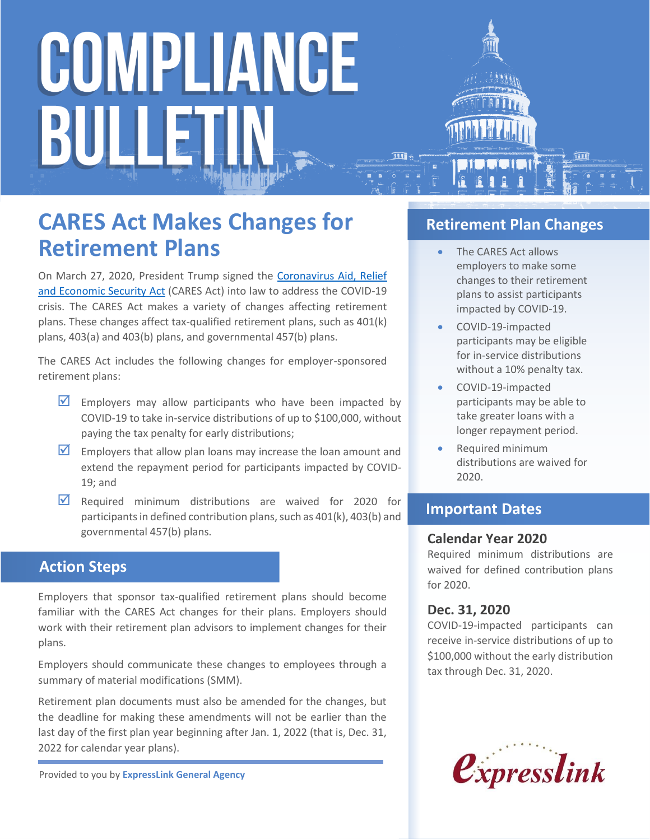# COMPLIANCE BULLET

### **CARES Act Makes Changes for Retirement Plans**

On March 27, 2020, President Trump signed the [Coronavirus Aid, Relief](https://www.congress.gov/bill/116th-congress/house-bill/748/text)  [and Economic Security Act](https://www.congress.gov/bill/116th-congress/house-bill/748/text) (CARES Act) into law to address the COVID-19 crisis. The CARES Act makes a variety of changes affecting retirement plans. These changes affect tax-qualified retirement plans, such as 401(k) plans, 403(a) and 403(b) plans, and governmental 457(b) plans.

The CARES Act includes the following changes for employer-sponsored retirement plans:

- $\triangledown$  Employers may allow participants who have been impacted by COVID-19 to take in-service distributions of up to \$100,000, without paying the tax penalty for early distributions;
- $\triangledown$  Employers that allow plan loans may increase the loan amount and extend the repayment period for participants impacted by COVID-19; and
- $\overline{M}$  Required minimum distributions are waived for 2020 for participants in defined contribution plans, such as 401(k), 403(b) and governmental 457(b) plans.

### **Action Steps**

Employers that sponsor tax-qualified retirement plans should become familiar with the CARES Act changes for their plans. Employers should work with their retirement plan advisors to implement changes for their plans.

Employers should communicate these changes to employees through a summary of material modifications (SMM).

Retirement plan documents must also be amended for the changes, but the deadline for making these amendments will not be earlier than the last day of the first plan year beginning after Jan. 1, 2022 (that is, Dec. 31, 2022 for calendar year plans).

Provided to you by **ExpressLink General Agency**

### **Retirement Plan Changes**

- The CARES Act allows employers to make some changes to their retirement plans to assist participants impacted by COVID-19.
- COVID-19-impacted participants may be eligible for in-service distributions without a 10% penalty tax.
- COVID-19-impacted participants may be able to take greater loans with a longer repayment period.
- Required minimum distributions are waived for 2020.

### **Important Dates**

### **Calendar Year 2020**

Required minimum distributions are waived for defined contribution plans for 2020.

### **Dec. 31, 2020**

COVID-19-impacted participants can receive in-service distributions of up to \$100,000 without the early distribution tax through Dec. 31, 2020.

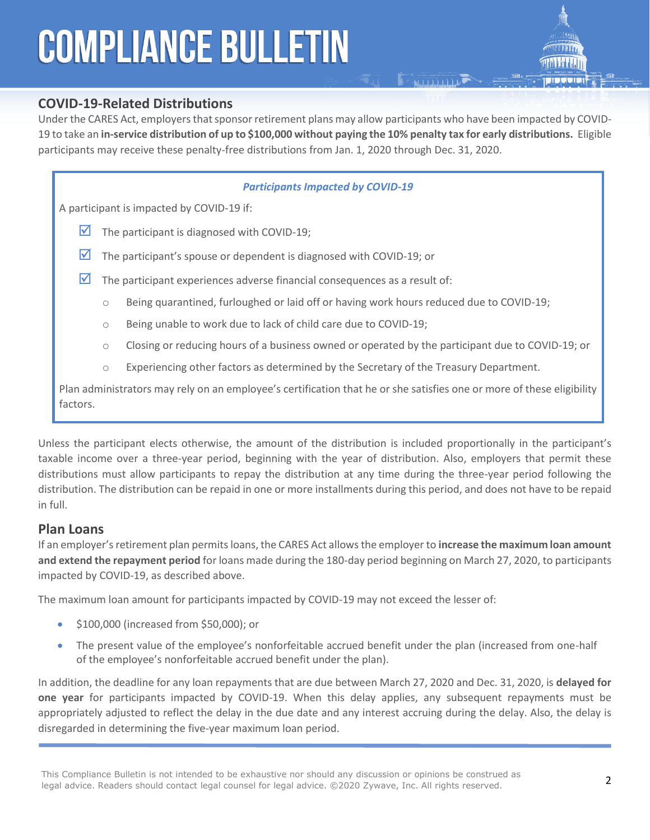## **COMPLIANCE BULLETIN**

### **COVID-19-Related Distributions**

Under the CARES Act, employers that sponsor retirement plans may allow participants who have been impacted by COVID-19 to take an **in-service distribution of up to \$100,000 without paying the 10% penalty tax for early distributions.** Eligible participants may receive these penalty-free distributions from Jan. 1, 2020 through Dec. 31, 2020.

**E ALLULLER** 

#### *Participants Impacted by COVID-19*

A participant is impacted by COVID-19 if:

- The participant is diagnosed with COVID-19;
- $\triangleright$  The participant's spouse or dependent is diagnosed with COVID-19; or
- $\triangledown$  The participant experiences adverse financial consequences as a result of:
	- o Being quarantined, furloughed or laid off or having work hours reduced due to COVID-19;
	- o Being unable to work due to lack of child care due to COVID-19;
	- o Closing or reducing hours of a business owned or operated by the participant due to COVID-19; or
	- o Experiencing other factors as determined by the Secretary of the Treasury Department.

Plan administrators may rely on an employee's certification that he or she satisfies one or more of these eligibility factors.

Unless the participant elects otherwise, the amount of the distribution is included proportionally in the participant's taxable income over a three-year period, beginning with the year of distribution. Also, employers that permit these distributions must allow participants to repay the distribution at any time during the three-year period following the distribution. The distribution can be repaid in one or more installments during this period, and does not have to be repaid in full.

#### **Plan Loans**

If an employer's retirement plan permits loans, the CARES Act allows the employer to **increase the maximum loan amount and extend the repayment period** for loans made during the 180-day period beginning on March 27, 2020, to participants impacted by COVID-19, as described above.

The maximum loan amount for participants impacted by COVID-19 may not exceed the lesser of:

- \$100,000 (increased from \$50,000); or
- The present value of the employee's nonforfeitable accrued benefit under the plan (increased from one-half of the employee's nonforfeitable accrued benefit under the plan).

In addition, the deadline for any loan repayments that are due between March 27, 2020 and Dec. 31, 2020, is **delayed for one year** for participants impacted by COVID-19. When this delay applies, any subsequent repayments must be appropriately adjusted to reflect the delay in the due date and any interest accruing during the delay. Also, the delay is disregarded in determining the five-year maximum loan period.